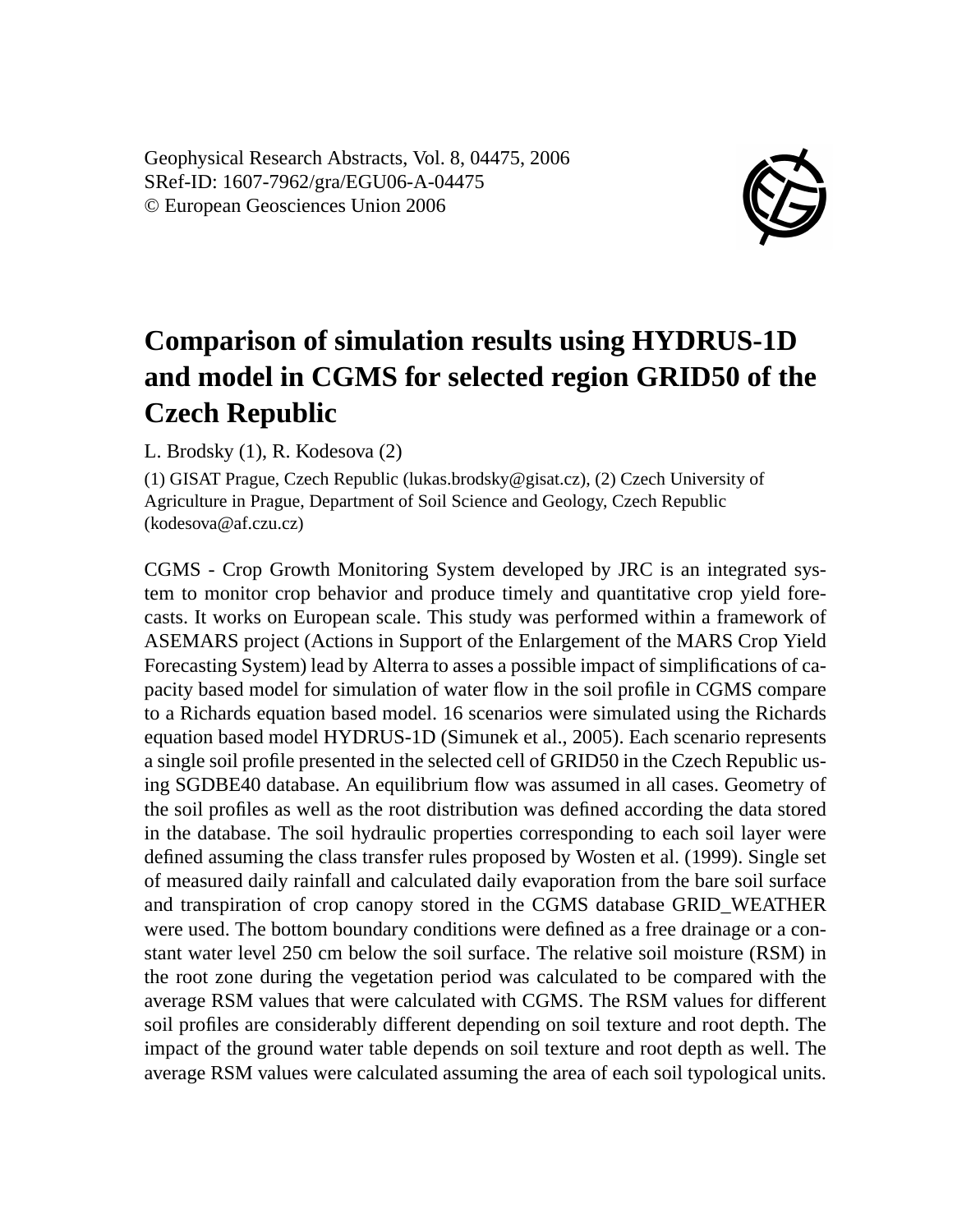Geophysical Research Abstracts, Vol. 8, 04475, 2006 SRef-ID: 1607-7962/gra/EGU06-A-04475 © European Geosciences Union 2006



## **Comparison of simulation results using HYDRUS-1D and model in CGMS for selected region GRID50 of the Czech Republic**

L. Brodsky (1), R. Kodesova (2)

(1) GISAT Prague, Czech Republic (lukas.brodsky@gisat.cz), (2) Czech University of Agriculture in Prague, Department of Soil Science and Geology, Czech Republic (kodesova@af.czu.cz)

CGMS - Crop Growth Monitoring System developed by JRC is an integrated system to monitor crop behavior and produce timely and quantitative crop yield forecasts. It works on European scale. This study was performed within a framework of ASEMARS project (Actions in Support of the Enlargement of the MARS Crop Yield Forecasting System) lead by Alterra to asses a possible impact of simplifications of capacity based model for simulation of water flow in the soil profile in CGMS compare to a Richards equation based model. 16 scenarios were simulated using the Richards equation based model HYDRUS-1D (Simunek et al., 2005). Each scenario represents a single soil profile presented in the selected cell of GRID50 in the Czech Republic using SGDBE40 database. An equilibrium flow was assumed in all cases. Geometry of the soil profiles as well as the root distribution was defined according the data stored in the database. The soil hydraulic properties corresponding to each soil layer were defined assuming the class transfer rules proposed by Wosten et al. (1999). Single set of measured daily rainfall and calculated daily evaporation from the bare soil surface and transpiration of crop canopy stored in the CGMS database GRID\_WEATHER were used. The bottom boundary conditions were defined as a free drainage or a constant water level 250 cm below the soil surface. The relative soil moisture (RSM) in the root zone during the vegetation period was calculated to be compared with the average RSM values that were calculated with CGMS. The RSM values for different soil profiles are considerably different depending on soil texture and root depth. The impact of the ground water table depends on soil texture and root depth as well. The average RSM values were calculated assuming the area of each soil typological units.